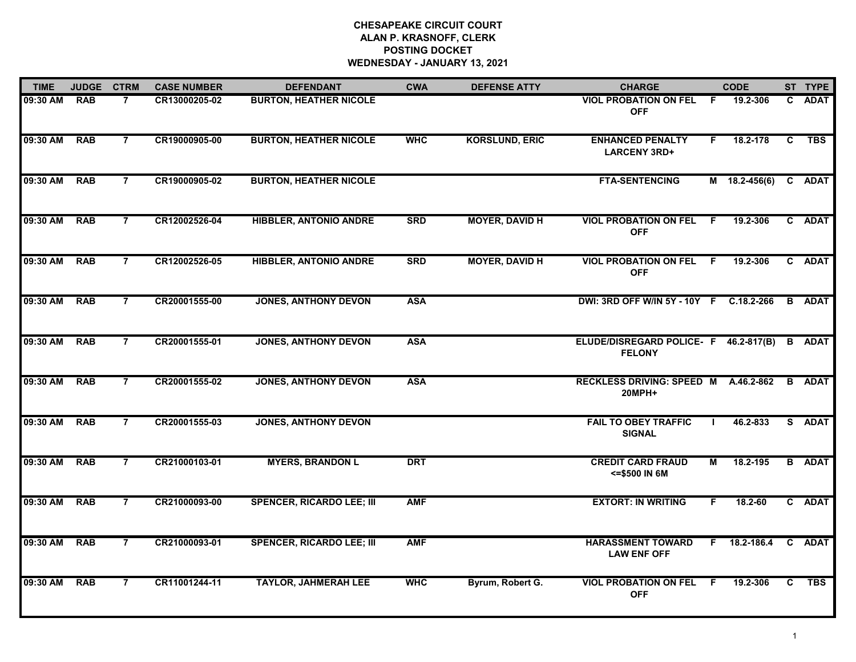# **CHESAPEAKE CIRCUIT COURT ALAN P. KRASNOFF, CLERK POSTING DOCKET WEDNESDAY - JANUARY 13, 2021**

| <b>TIME</b> | <b>JUDGE</b> | <b>CTRM</b>    | <b>CASE NUMBER</b> | <b>DEFENDANT</b>                 | <b>CWA</b> | <b>DEFENSE ATTY</b>   | <b>CHARGE</b>                                          |     | <b>CODE</b>     |    | ST TYPE       |
|-------------|--------------|----------------|--------------------|----------------------------------|------------|-----------------------|--------------------------------------------------------|-----|-----------------|----|---------------|
| 09:30 AM    | <b>RAB</b>   |                | CR13000205-02      | <b>BURTON, HEATHER NICOLE</b>    |            |                       | <b>VIOL PROBATION ON FEL</b><br><b>OFF</b>             | F.  | 19.2-306        | C. | <b>ADAT</b>   |
| 09:30 AM    | <b>RAB</b>   | $\overline{7}$ | CR19000905-00      | <b>BURTON, HEATHER NICOLE</b>    | <b>WHC</b> | <b>KORSLUND, ERIC</b> | <b>ENHANCED PENALTY</b><br><b>LARCENY 3RD+</b>         | F.  | 18.2-178        | C  | <b>TBS</b>    |
| 09:30 AM    | <b>RAB</b>   | $\overline{7}$ | CR19000905-02      | <b>BURTON, HEATHER NICOLE</b>    |            |                       | <b>FTA-SENTENCING</b>                                  |     | $M$ 18.2-456(6) |    | C ADAT        |
| 09:30 AM    | <b>RAB</b>   | 7              | CR12002526-04      | <b>HIBBLER, ANTONIO ANDRE</b>    | <b>SRD</b> | <b>MOYER, DAVID H</b> | <b>VIOL PROBATION ON FEL</b><br><b>OFF</b>             | - F | 19.2-306        |    | C ADAT        |
| 09:30 AM    | <b>RAB</b>   | $\overline{7}$ | CR12002526-05      | <b>HIBBLER, ANTONIO ANDRE</b>    | <b>SRD</b> | <b>MOYER, DAVID H</b> | <b>VIOL PROBATION ON FEL F</b><br><b>OFF</b>           |     | 19.2-306        |    | C ADAT        |
| 09:30 AM    | <b>RAB</b>   | $\overline{7}$ | CR20001555-00      | <b>JONES, ANTHONY DEVON</b>      | <b>ASA</b> |                       | DWI: 3RD OFF W/IN 5Y - 10Y F C.18.2-266                |     |                 |    | <b>B</b> ADAT |
| 09:30 AM    | <b>RAB</b>   | $\overline{7}$ | CR20001555-01      | <b>JONES, ANTHONY DEVON</b>      | <b>ASA</b> |                       | ELUDE/DISREGARD POLICE- F 46.2-817(B)<br><b>FELONY</b> |     |                 |    | <b>B</b> ADAT |
| 09:30 AM    | <b>RAB</b>   | $\overline{7}$ | CR20001555-02      | <b>JONES, ANTHONY DEVON</b>      | <b>ASA</b> |                       | RECKLESS DRIVING: SPEED M A.46.2-862<br><b>20MPH+</b>  |     |                 |    | <b>B</b> ADAT |
| 09:30 AM    | <b>RAB</b>   | $\overline{7}$ | CR20001555-03      | <b>JONES, ANTHONY DEVON</b>      |            |                       | <b>FAIL TO OBEY TRAFFIC</b><br><b>SIGNAL</b>           |     | 46.2-833        |    | S ADAT        |
| 09:30 AM    | <b>RAB</b>   | $\overline{7}$ | CR21000103-01      | <b>MYERS, BRANDON L</b>          | <b>DRT</b> |                       | <b>CREDIT CARD FRAUD</b><br><= \$500 IN 6M             | М   | 18.2-195        |    | <b>B</b> ADAT |
| 09:30 AM    | <b>RAB</b>   | $\overline{7}$ | CR21000093-00      | <b>SPENCER, RICARDO LEE; III</b> | <b>AMF</b> |                       | <b>EXTORT: IN WRITING</b>                              | F.  | 18.2-60         |    | C ADAT        |
| 09:30 AM    | <b>RAB</b>   | $\overline{7}$ | CR21000093-01      | <b>SPENCER, RICARDO LEE; III</b> | <b>AMF</b> |                       | <b>HARASSMENT TOWARD</b><br><b>LAW ENF OFF</b>         | F.  | 18.2-186.4      |    | C ADAT        |
| 09:30 AM    | <b>RAB</b>   | $\overline{7}$ | CR11001244-11      | <b>TAYLOR, JAHMERAH LEE</b>      | <b>WHC</b> | Byrum, Robert G.      | <b>VIOL PROBATION ON FEL F</b><br><b>OFF</b>           |     | 19.2-306        | C  | <b>TBS</b>    |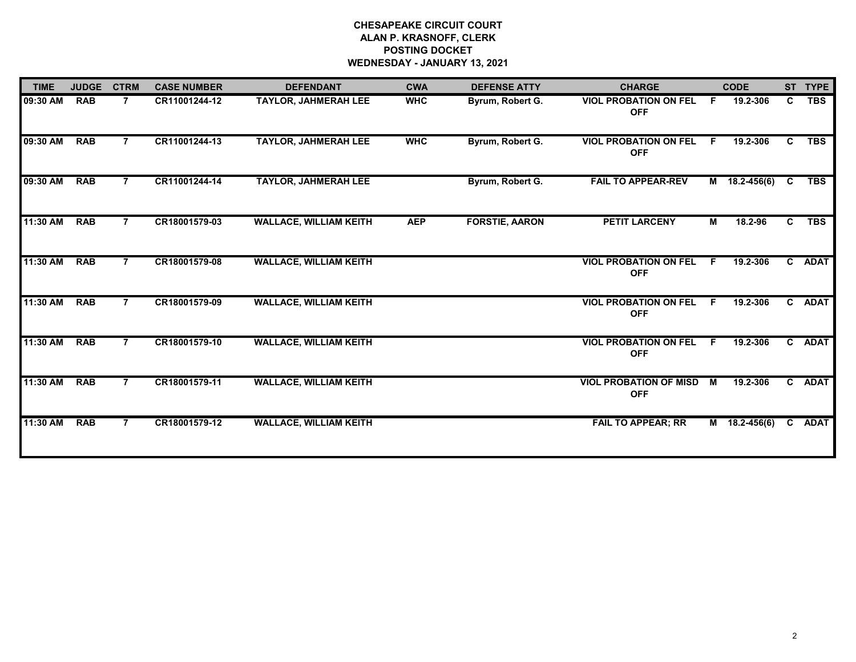# **CHESAPEAKE CIRCUIT COURT ALAN P. KRASNOFF, CLERK POSTING DOCKET WEDNESDAY - JANUARY 13, 2021**

| <b>TIME</b> | <b>JUDGE</b> | <b>CTRM</b>    | <b>CASE NUMBER</b> | <b>DEFENDANT</b>              | <b>CWA</b> | <b>DEFENSE ATTY</b>   | <b>CHARGE</b>                               |    | <b>CODE</b>     |    | ST TYPE    |
|-------------|--------------|----------------|--------------------|-------------------------------|------------|-----------------------|---------------------------------------------|----|-----------------|----|------------|
| 09:30 AM    | <b>RAB</b>   | $\overline{7}$ | CR11001244-12      | TAYLOR, JAHMERAH LEE          | <b>WHC</b> | Byrum, Robert G.      | <b>VIOL PROBATION ON FEL</b><br><b>OFF</b>  | F. | 19.2-306        | C  | <b>TBS</b> |
| 09:30 AM    | <b>RAB</b>   | 7              | CR11001244-13      | <b>TAYLOR, JAHMERAH LEE</b>   | <b>WHC</b> | Byrum, Robert G.      | <b>VIOL PROBATION ON FEL</b><br><b>OFF</b>  | F. | 19.2-306        | C. | <b>TBS</b> |
| 09:30 AM    | <b>RAB</b>   | $\overline{7}$ | CR11001244-14      | <b>TAYLOR, JAHMERAH LEE</b>   |            | Byrum, Robert G.      | <b>FAIL TO APPEAR-REV</b>                   |    | $M$ 18.2-456(6) | C  | <b>TBS</b> |
| 11:30 AM    | <b>RAB</b>   | $\overline{7}$ | CR18001579-03      | <b>WALLACE, WILLIAM KEITH</b> | <b>AEP</b> | <b>FORSTIE, AARON</b> | <b>PETIT LARCENY</b>                        | М  | 18.2-96         | C. | <b>TBS</b> |
| 11:30 AM    | <b>RAB</b>   |                | CR18001579-08      | <b>WALLACE, WILLIAM KEITH</b> |            |                       | <b>VIOL PROBATION ON FEL</b><br><b>OFF</b>  | F. | 19.2-306        |    | C ADAT     |
| 11:30 AM    | <b>RAB</b>   |                | CR18001579-09      | <b>WALLACE, WILLIAM KEITH</b> |            |                       | <b>VIOL PROBATION ON FEL</b><br><b>OFF</b>  | F. | 19.2-306        |    | C ADAT     |
| 11:30 AM    | <b>RAB</b>   |                | CR18001579-10      | <b>WALLACE, WILLIAM KEITH</b> |            |                       | <b>VIOL PROBATION ON FEL</b><br><b>OFF</b>  | F. | 19.2-306        |    | C ADAT     |
| 11:30 AM    | <b>RAB</b>   | $\overline{7}$ | CR18001579-11      | <b>WALLACE, WILLIAM KEITH</b> |            |                       | <b>VIOL PROBATION OF MISD</b><br><b>OFF</b> | M  | 19.2-306        |    | C ADAT     |
| 11:30 AM    | <b>RAB</b>   | $\overline{7}$ | CR18001579-12      | <b>WALLACE, WILLIAM KEITH</b> |            |                       | <b>FAIL TO APPEAR; RR</b>                   |    | M 18.2-456(6)   |    | C ADAT     |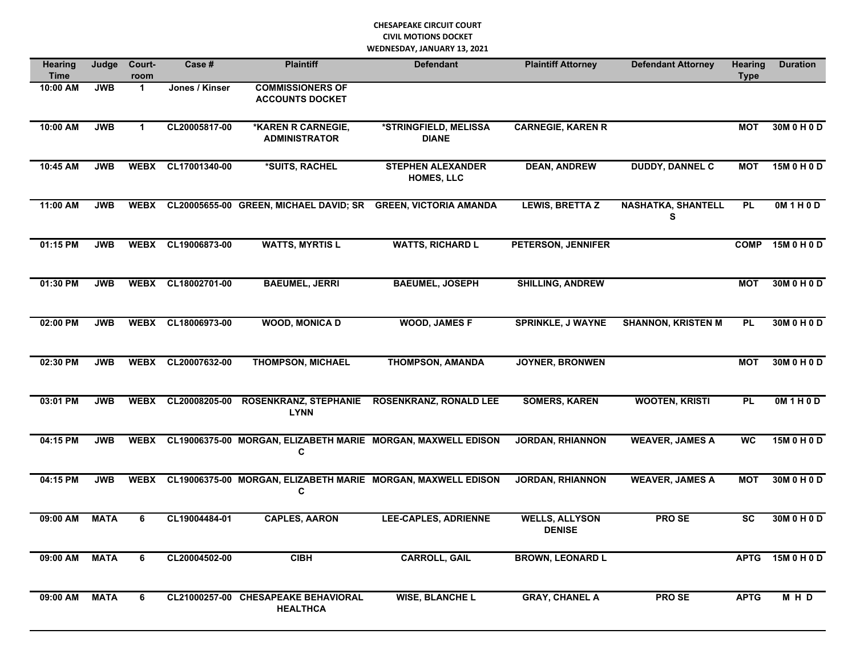### **CHESAPEAKE CIRCUIT COURT CIVIL MOTIONS DOCKET WEDNESDAY, JANUARY 13, 2021**

| <b>Hearing</b><br><b>Time</b> | Judge       | Court-<br>room       | Case #         | <b>Plaintiff</b>                                       | <b>Defendant</b>                                             | <b>Plaintiff Attorney</b><br><b>Defendant Attorney</b> |                                | <b>Hearing</b><br><b>Type</b> | <b>Duration</b>   |
|-------------------------------|-------------|----------------------|----------------|--------------------------------------------------------|--------------------------------------------------------------|--------------------------------------------------------|--------------------------------|-------------------------------|-------------------|
| 10:00 AM                      | <b>JWB</b>  | $\blacktriangleleft$ | Jones / Kinser | <b>COMMISSIONERS OF</b><br><b>ACCOUNTS DOCKET</b>      |                                                              |                                                        |                                |                               |                   |
| 10:00 AM                      | <b>JWB</b>  | $\mathbf{1}$         | CL20005817-00  | *KAREN R CARNEGIE,<br><b>ADMINISTRATOR</b>             | *STRINGFIELD, MELISSA<br><b>DIANE</b>                        | <b>CARNEGIE, KAREN R</b>                               |                                | <b>MOT</b>                    | 30M 0 H 0 D       |
| 10:45 AM                      | <b>JWB</b>  | <b>WEBX</b>          | CL17001340-00  | *SUITS, RACHEL                                         | <b>STEPHEN ALEXANDER</b><br>HOMES, LLC                       | <b>DEAN, ANDREW</b>                                    | <b>DUDDY, DANNEL C</b>         | <b>MOT</b>                    | 15M 0 H 0 D       |
| 11:00 AM                      | <b>JWB</b>  | <b>WEBX</b>          |                | CL20005655-00 GREEN, MICHAEL DAVID; SR                 | <b>GREEN, VICTORIA AMANDA</b>                                | <b>LEWIS, BRETTA Z</b>                                 | <b>NASHATKA, SHANTELL</b><br>S | <b>PL</b>                     | <b>OM 1 H 0 D</b> |
| $01:15$ PM                    | <b>JWB</b>  | <b>WEBX</b>          | CL19006873-00  | <b>WATTS, MYRTIS L</b>                                 | <b>WATTS, RICHARD L</b>                                      | PETERSON, JENNIFER                                     |                                | <b>COMP</b>                   | 15M 0 H 0 D       |
| 01:30 PM                      | <b>JWB</b>  | <b>WEBX</b>          | CL18002701-00  | <b>BAEUMEL, JERRI</b>                                  | <b>BAEUMEL, JOSEPH</b>                                       | <b>SHILLING, ANDREW</b>                                |                                | <b>MOT</b>                    | 30M 0 H 0 D       |
| 02:00 PM                      | <b>JWB</b>  | <b>WEBX</b>          | CL18006973-00  | <b>WOOD, MONICA D</b>                                  | <b>WOOD, JAMES F</b>                                         | <b>SPRINKLE, J WAYNE</b>                               | <b>SHANNON, KRISTEN M</b>      | <b>PL</b>                     | 30M 0 H 0 D       |
| 02:30 PM                      | <b>JWB</b>  | <b>WEBX</b>          | CL20007632-00  | <b>THOMPSON, MICHAEL</b>                               | <b>THOMPSON, AMANDA</b>                                      | <b>JOYNER, BRONWEN</b>                                 |                                | <b>MOT</b>                    | 30M 0 H 0 D       |
| 03:01 PM                      | <b>JWB</b>  | <b>WEBX</b>          | CL20008205-00  | <b>ROSENKRANZ, STEPHANIE</b><br><b>LYNN</b>            | <b>ROSENKRANZ, RONALD LEE</b>                                | <b>SOMERS, KAREN</b>                                   | <b>WOOTEN, KRISTI</b>          | <b>PL</b>                     | OM1H0D            |
| $04:15$ PM                    | <b>JWB</b>  | <b>WEBX</b>          |                | C                                                      | CL19006375-00 MORGAN, ELIZABETH MARIE MORGAN, MAXWELL EDISON | <b>JORDAN, RHIANNON</b>                                | <b>WEAVER, JAMES A</b>         | <b>WC</b>                     | 15M 0 H 0 D       |
| 04:15 PM                      | <b>JWB</b>  | <b>WEBX</b>          |                | C                                                      | CL19006375-00 MORGAN, ELIZABETH MARIE MORGAN, MAXWELL EDISON | <b>JORDAN, RHIANNON</b>                                | <b>WEAVER, JAMES A</b>         | <b>MOT</b>                    | 30M 0 H 0 D       |
| 09:00 AM                      | <b>MATA</b> | 6                    | CL19004484-01  | <b>CAPLES, AARON</b>                                   | <b>LEE-CAPLES, ADRIENNE</b>                                  | <b>WELLS, ALLYSON</b><br><b>DENISE</b>                 | <b>PROSE</b>                   | <b>SC</b>                     | 30M 0 H 0 D       |
| 09:00 AM                      | <b>MATA</b> | 6                    | CL20004502-00  | <b>CIBH</b>                                            | <b>CARROLL, GAIL</b>                                         | <b>BROWN, LEONARD L</b>                                |                                | <b>APTG</b>                   | 15M 0 H 0 D       |
| 09:00 AM                      | <b>MATA</b> | 6                    |                | CL21000257-00 CHESAPEAKE BEHAVIORAL<br><b>HEALTHCA</b> | <b>WISE, BLANCHE L</b>                                       | <b>GRAY, CHANEL A</b>                                  | <b>PROSE</b>                   | <b>APTG</b>                   | $M$ H D           |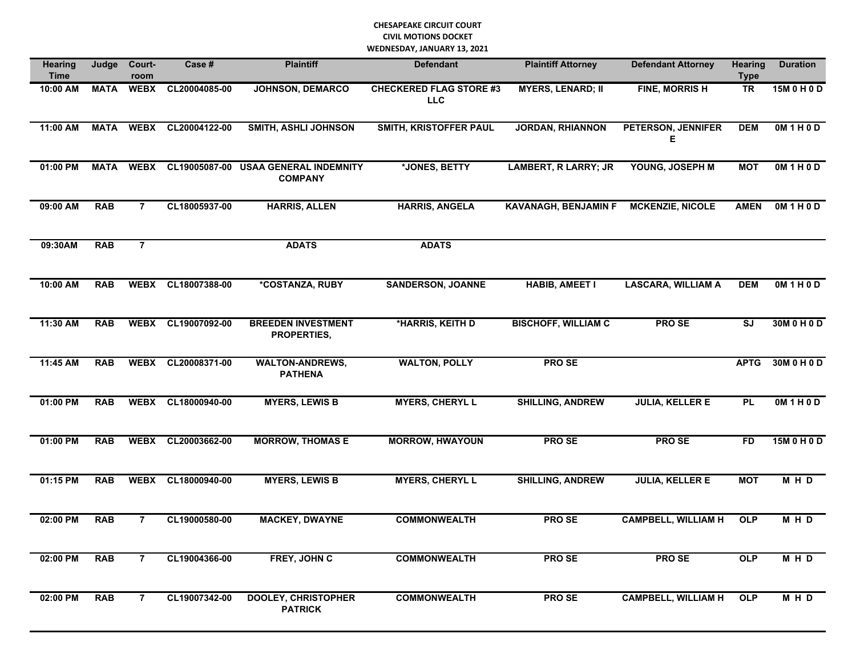#### **CHESAPEAKE CIRCUIT COURT CIVIL MOTIONS DOCKET WEDNESDAY, JANUARY 13, 2021**

| <b>Hearing</b><br><b>Time</b> | Judge       | Court-<br>room | Case #        | <b>Plaintiff</b>                                       | <b>Defendant</b>                             | <b>Plaintiff Attorney</b>   |                            | <b>Hearing</b><br><b>Type</b> | <b>Duration</b> |
|-------------------------------|-------------|----------------|---------------|--------------------------------------------------------|----------------------------------------------|-----------------------------|----------------------------|-------------------------------|-----------------|
| 10:00 AM                      | <b>MATA</b> | <b>WEBX</b>    | CL20004085-00 | <b>JOHNSON, DEMARCO</b>                                | <b>CHECKERED FLAG STORE #3</b><br><b>LLC</b> | <b>MYERS, LENARD; II</b>    | <b>FINE, MORRISH</b>       | <b>TR</b>                     | 15M 0 H 0 D     |
| 11:00 AM                      | <b>MATA</b> | <b>WEBX</b>    | CL20004122-00 | <b>SMITH, ASHLI JOHNSON</b>                            | <b>SMITH, KRISTOFFER PAUL</b>                | <b>JORDAN, RHIANNON</b>     | PETERSON, JENNIFER<br>Е    | <b>DEM</b>                    | OM1H0D          |
| 01:00 PM                      | <b>MATA</b> | <b>WEBX</b>    |               | CL19005087-00 USAA GENERAL INDEMNITY<br><b>COMPANY</b> | *JONES, BETTY                                | <b>LAMBERT, R LARRY; JR</b> | YOUNG, JOSEPH M            | <b>MOT</b>                    | OM1H0D          |
| 09:00 AM                      | <b>RAB</b>  | $\overline{7}$ | CL18005937-00 | <b>HARRIS, ALLEN</b>                                   | <b>HARRIS, ANGELA</b>                        | <b>KAVANAGH, BENJAMIN F</b> | <b>MCKENZIE, NICOLE</b>    | <b>AMEN</b>                   | OM1H0D          |
| 09:30AM                       | <b>RAB</b>  | $\overline{7}$ |               | <b>ADATS</b>                                           | <b>ADATS</b>                                 |                             |                            |                               |                 |
| 10:00 AM                      | <b>RAB</b>  | <b>WEBX</b>    | CL18007388-00 | *COSTANZA, RUBY                                        | <b>SANDERSON, JOANNE</b>                     | <b>HABIB, AMEET I</b>       | <b>LASCARA, WILLIAM A</b>  | <b>DEM</b>                    | OM1H0D          |
| 11:30 AM                      | <b>RAB</b>  | <b>WEBX</b>    | CL19007092-00 | <b>BREEDEN INVESTMENT</b><br>PROPERTIES,               | *HARRIS, KEITH D                             | <b>BISCHOFF, WILLIAM C</b>  | <b>PROSE</b>               | SJ                            | 30M 0 H 0 D     |
| 11:45 AM                      | <b>RAB</b>  | <b>WEBX</b>    | CL20008371-00 | <b>WALTON-ANDREWS,</b><br><b>PATHENA</b>               | <b>WALTON, POLLY</b>                         | <b>PROSE</b>                |                            | <b>APTG</b>                   | 30M 0 H 0 D     |
| 01:00 PM                      | <b>RAB</b>  | <b>WEBX</b>    | CL18000940-00 | <b>MYERS, LEWIS B</b>                                  | <b>MYERS, CHERYL L</b>                       | <b>SHILLING, ANDREW</b>     | <b>JULIA, KELLER E</b>     | <b>PL</b>                     | OM1H0D          |
| 01:00 PM                      | <b>RAB</b>  | <b>WEBX</b>    | CL20003662-00 | <b>MORROW, THOMAS E</b>                                | <b>MORROW, HWAYOUN</b>                       | <b>PROSE</b>                | <b>PROSE</b>               | <b>FD</b>                     | 15M 0 H 0 D     |
| 01:15 PM                      | <b>RAB</b>  | <b>WEBX</b>    | CL18000940-00 | <b>MYERS, LEWIS B</b>                                  | <b>MYERS, CHERYL L</b>                       | <b>SHILLING, ANDREW</b>     | <b>JULIA, KELLER E</b>     | <b>MOT</b>                    | MHD             |
| 02:00 PM                      | <b>RAB</b>  | $\overline{7}$ | CL19000580-00 | <b>MACKEY, DWAYNE</b>                                  | <b>COMMONWEALTH</b>                          | <b>PROSE</b>                | <b>CAMPBELL, WILLIAM H</b> | OLP                           | $M$ H D         |
| 02:00 PM                      | <b>RAB</b>  | $\overline{7}$ | CL19004366-00 | FREY, JOHN C                                           | <b>COMMONWEALTH</b>                          | <b>PROSE</b>                | <b>PROSE</b>               | <b>OLP</b>                    | M H D           |
| 02:00 PM                      | <b>RAB</b>  | $\overline{7}$ | CL19007342-00 | <b>DOOLEY, CHRISTOPHER</b><br><b>PATRICK</b>           | <b>COMMONWEALTH</b>                          | <b>PROSE</b>                | <b>CAMPBELL, WILLIAM H</b> | <b>OLP</b>                    | MHD             |